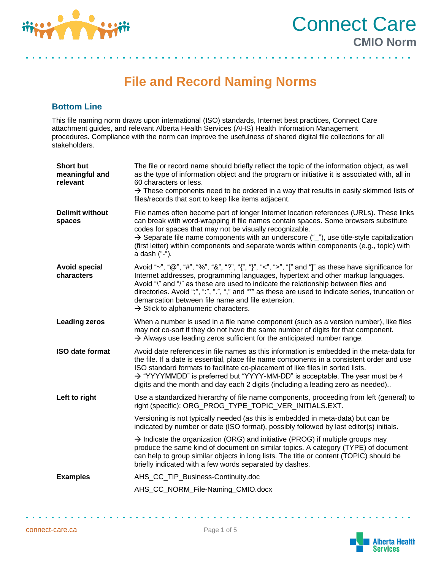

a na matana a



**File and Record Naming Norms**

# **Bottom Line**

This file naming norm draws upon international (ISO) standards, Internet best practices, Connect Care attachment guides, and relevant Alberta Health Services (AHS) Health Information Management procedures. Compliance with the norm can improve the usefulness of shared digital file collections for all stakeholders.

| <b>Short but</b><br>meaningful and<br>relevant | The file or record name should briefly reflect the topic of the information object, as well<br>as the type of information object and the program or initiative it is associated with, all in<br>60 characters or less.<br>$\rightarrow$ These components need to be ordered in a way that results in easily skimmed lists of<br>files/records that sort to keep like items adjacent.                                                                                                      |
|------------------------------------------------|-------------------------------------------------------------------------------------------------------------------------------------------------------------------------------------------------------------------------------------------------------------------------------------------------------------------------------------------------------------------------------------------------------------------------------------------------------------------------------------------|
| <b>Delimit without</b><br>spaces               | File names often become part of longer Internet location references (URLs). These links<br>can break with word-wrapping if file names contain spaces. Some browsers substitute<br>codes for spaces that may not be visually recognizable.<br>$\rightarrow$ Separate file name components with an underscore ("_"), use title-style capitalization<br>(first letter) within components and separate words within components (e.g., topic) with<br>a dash ("-").                            |
| <b>Avoid special</b><br>characters             | Avoid "~", "@", "#", "%", "&", "?", "{", "}", "<", ">", "[" and "]" as these have significance for<br>Internet addresses, programming languages, hypertext and other markup languages.<br>Avoid "\" and "/" as these are used to indicate the relationship between files and<br>directories. Avoid ";", ":", ".", "," and "*" as these are used to indicate series, truncation or<br>demarcation between file name and file extension.<br>$\rightarrow$ Stick to alphanumeric characters. |
| <b>Leading zeros</b>                           | When a number is used in a file name component (such as a version number), like files<br>may not co-sort if they do not have the same number of digits for that component.<br>$\rightarrow$ Always use leading zeros sufficient for the anticipated number range.                                                                                                                                                                                                                         |
| <b>ISO date format</b>                         | Avoid date references in file names as this information is embedded in the meta-data for<br>the file. If a date is essential, place file name components in a consistent order and use<br>ISO standard formats to facilitate co-placement of like files in sorted lists.<br>→ "YYYYMMDD" is preferred but "YYYY-MM-DD" is acceptable. The year must be 4<br>digits and the month and day each 2 digits (including a leading zero as needed)                                               |
| Left to right                                  | Use a standardized hierarchy of file name components, proceeding from left (general) to<br>right (specific): ORG_PROG_TYPE_TOPIC_VER_INITIALS.EXT.                                                                                                                                                                                                                                                                                                                                        |
|                                                | Versioning is not typically needed (as this is embedded in meta-data) but can be<br>indicated by number or date (ISO format), possibly followed by last editor(s) initials.                                                                                                                                                                                                                                                                                                               |
|                                                | $\rightarrow$ Indicate the organization (ORG) and initiative (PROG) if multiple groups may<br>produce the same kind of document on similar topics. A category (TYPE) of document<br>can help to group similar objects in long lists. The title or content (TOPIC) should be<br>briefly indicated with a few words separated by dashes.                                                                                                                                                    |
| <b>Examples</b>                                | AHS_CC_TIP_Business-Continuity.doc                                                                                                                                                                                                                                                                                                                                                                                                                                                        |
|                                                | AHS_CC_NORM_File-Naming_CMIO.docx                                                                                                                                                                                                                                                                                                                                                                                                                                                         |

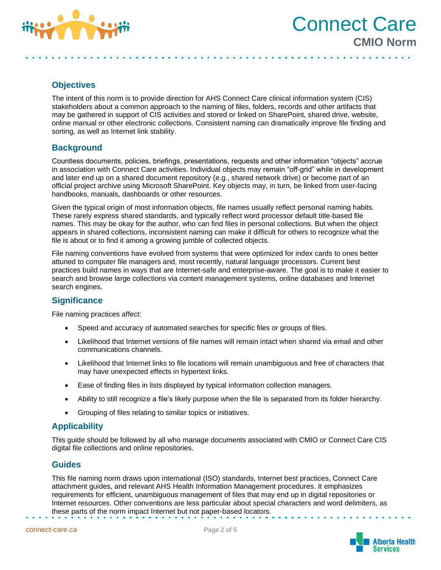

Connect Care **CMIO Norm**

# **Objectives**

The intent of this norm is to provide direction for AHS Connect Care clinical information system (CIS) stakeholders about a common approach to the naming of files, folders, records and other artifacts that may be gathered in support of CIS activities and stored or linked on SharePoint, shared drive, website, online manual or other electronic collections. Consistent naming can dramatically improve file finding and sorting, as well as Internet link stability.

## **Background**

Countless documents, policies, briefings, presentations, requests and other information "objects" accrue in association with Connect Care activities. Individual objects may remain "off-grid" while in development and later end up on a shared document repository (e.g., shared network drive) or become part of an official project archive using Microsoft SharePoint. Key objects may, in turn, be linked from user-facing handbooks, manuals, dashboards or other resources.

Given the typical origin of most information objects, file names usually reflect personal naming habits. These rarely express shared standards, and typically reflect word processor default title-based file names. This may be okay for the author, who can find files in personal collections. But when the object appears in shared collections, inconsistent naming can make it difficult for others to recognize what the file is about or to find it among a growing jumble of collected objects.

File naming conventions have evolved from systems that were optimized for index cards to ones better attuned to computer file managers and, most recently, natural language processors. Current best practices build names in ways that are Internet-safe and enterprise-aware. The goal is to make it easier to search and browse large collections via content management systems, online databases and Internet search engines.

## **Significance**

File naming practices affect:

- Speed and accuracy of automated searches for specific files or groups of files.
- Likelihood that Internet versions of file names will remain intact when shared via email and other communications channels.
- Likelihood that Internet links to file locations will remain unambiguous and free of characters that may have unexpected effects in hypertext links.
- Ease of finding files in lists displayed by typical information collection managers.
- Ability to still recognize a file's likely purpose when the file is separated from its folder hierarchy.
- Grouping of files relating to similar topics or initiatives.

## **Applicability**

This guide should be followed by all who manage documents associated with CMIO or Connect Care CIS digital file collections and online repositories.

## **Guides**

This file naming norm draws upon international (ISO) standards, Internet best practices, Connect Care attachment guides, and relevant AHS Health Information Management procedures. It emphasizes requirements for efficient, unambiguous management of files that may end up in digital repositories or Internet resources. Other conventions are less particular about special characters and word delimiters, as these parts of the norm impact Internet but not paper-based locators.

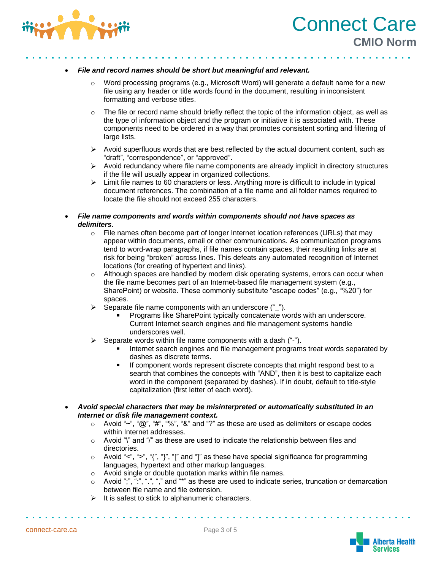



#### • *File and record names should be short but meaningful and relevant.*

- o Word processing programs (e.g., Microsoft Word) will generate a default name for a new file using any header or title words found in the document, resulting in inconsistent formatting and verbose titles.
- $\circ$  The file or record name should briefly reflect the topic of the information object, as well as the type of information object and the program or initiative it is associated with. These components need to be ordered in a way that promotes consistent sorting and filtering of large lists.
- $\triangleright$  Avoid superfluous words that are best reflected by the actual document content, such as "draft", "correspondence", or "approved".
- $\triangleright$  Avoid redundancy where file name components are already implicit in directory structures if the file will usually appear in organized collections.
- $\triangleright$  Limit file names to 60 characters or less. Anything more is difficult to include in typical document references. The combination of a file name and all folder names required to locate the file should not exceed 255 characters.
- *File name components and words within components should not have spaces as delimiters.*
	- $\circ$  File names often become part of longer Internet location references (URLs) that may appear within documents, email or other communications. As communication programs tend to word-wrap paragraphs, if file names contain spaces, their resulting links are at risk for being "broken" across lines. This defeats any automated recognition of Internet locations (for creating of hypertext and links).
	- $\circ$  Although spaces are handled by modern disk operating systems, errors can occur when the file name becomes part of an Internet-based file management system (e.g., SharePoint) or website. These commonly substitute "escape codes" (e.g., "%20") for spaces.
	- Separate file name components with an underscore ("\_").
		- Programs like SharePoint typically concatenate words with an underscore. Current Internet search engines and file management systems handle underscores well.
	- Separate words within file name components with a dash ("-").
		- Internet search engines and file management programs treat words separated by dashes as discrete terms.
		- If component words represent discrete concepts that might respond best to a search that combines the concepts with "AND", then it is best to capitalize each word in the component (separated by dashes). If in doubt, default to title-style capitalization (first letter of each word).
- *Avoid special characters that may be misinterpreted or automatically substituted in an Internet or disk file management context.* 
	- o Avoid "~", " $@$ ", "#", "%", "&" and "?" as these are used as delimiters or escape codes within Internet addresses.
	- o Avoid "\" and "/" as these are used to indicate the relationship between files and directories.
	- $\circ$  Avoid "<", ">", "{", "}", "[" and "]" as these have special significance for programming languages, hypertext and other markup languages.
	- o Avoid single or double quotation marks within file names.
	- $\circ$  Avoid ";", ":", ".", "," and "\*" as these are used to indicate series, truncation or demarcation between file name and file extension.
	- It is safest to stick to alphanumeric characters.

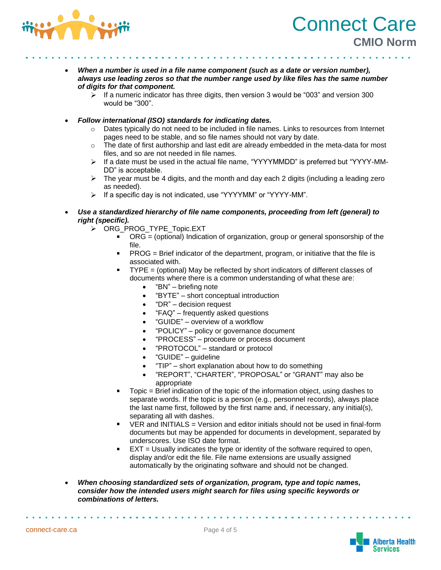

- *When a number is used in a file name component (such as a date or version number), always use leading zeros so that the number range used by like files has the same number of digits for that component.*
	- If a numeric indicator has three digits, then version 3 would be "003" and version 300  $\blacktriangleright$ would be "300".
- *Follow international (ISO) standards for indicating dates.*
	- $\circ$  Dates typically do not need to be included in file names. Links to resources from Internet pages need to be stable, and so file names should not vary by date.
	- $\circ$  The date of first authorship and last edit are already embedded in the meta-data for most files, and so are not needed in file names.
	- $\triangleright$  If a date must be used in the actual file name, "YYYYMMDD" is preferred but "YYYY-MM-DD" is acceptable.
	- $\triangleright$  The year must be 4 digits, and the month and day each 2 digits (including a leading zero as needed).
	- If a specific day is not indicated, use "YYYYMM" or "YYYY-MM".
	- *Use a standardized hierarchy of file name components, proceeding from left (general) to right (specific).*
		- > ORG PROG TYPE Topic.EXT
			- ORG = (optional) Indication of organization, group or general sponsorship of the file.
			- PROG = Brief indicator of the department, program, or initiative that the file is associated with.
			- TYPE = (optional) May be reflected by short indicators of different classes of documents where there is a common understanding of what these are:
				- "BN" briefing note
				- "BYTE" short conceptual introduction
				- "DR" decision request
				- "FAQ" frequently asked questions
				- "GUIDE" overview of a workflow
				- "POLICY" policy or governance document
				- "PROCESS" procedure or process document
				- "PROTOCOL" standard or protocol
				- "GUIDE" guideline
				- "TIP" short explanation about how to do something
				- "REPORT", "CHARTER", "PROPOSAL" or "GRANT" may also be appropriate
			- Topic = Brief indication of the topic of the information object, using dashes to separate words. If the topic is a person (e.g., personnel records), always place the last name first, followed by the first name and, if necessary, any initial(s), separating all with dashes.
			- VER and INITIALS = Version and editor initials should not be used in final-form documents but may be appended for documents in development, separated by underscores. Use ISO date format.
			- EXT = Usually indicates the type or identity of the software required to open, display and/or edit the file. File name extensions are usually assigned automatically by the originating software and should not be changed.
- *When choosing standardized sets of organization, program, type and topic names, consider how the intended users might search for files using specific keywords or combinations of letters.*



Connect Care

**CMIO Norm**